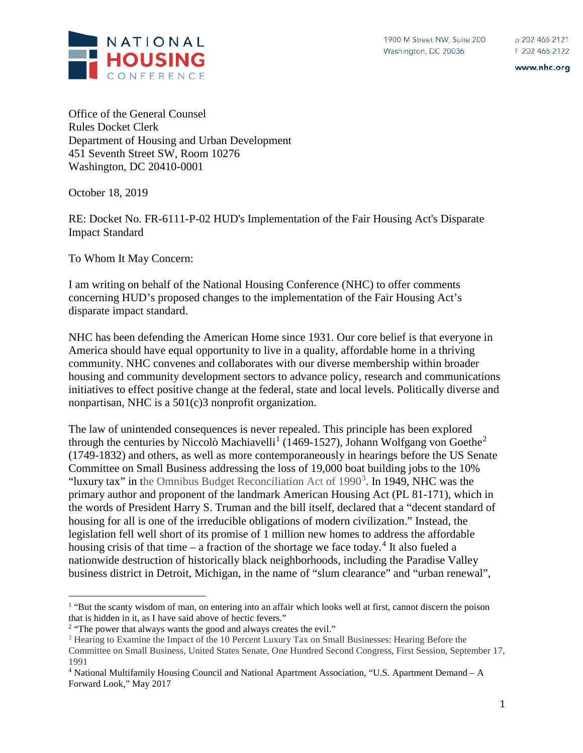

www.nhc.org

Office of the General Counsel Rules Docket Clerk Department of Housing and Urban Development 451 Seventh Street SW, Room 10276 Washington, DC 20410-0001

October 18, 2019

RE: Docket No. FR-6111-P-02 HUD's Implementation of the Fair Housing Act's Disparate Impact Standard

To Whom It May Concern:

I am writing on behalf of the National Housing Conference (NHC) to offer comments concerning HUD's proposed changes to the implementation of the Fair Housing Act's disparate impact standard.

NHC has been defending the American Home since 1931. Our core belief is that everyone in America should have equal opportunity to live in a quality, affordable home in a thriving community. NHC convenes and collaborates with our diverse membership within broader housing and community development sectors to advance policy, research and communications initiatives to effect positive change at the federal, state and local levels. Politically diverse and nonpartisan, NHC is a 501(c)3 nonprofit organization.

The law of unintended consequences is never repealed. This principle has been explored through the centuries by Niccolò Machiavelli<sup>[1](#page-0-0)</sup> (1469-15[2](#page-0-1)7), Johann Wolfgang von Goethe<sup>2</sup> (1749-1832) and others, as well as more contemporaneously in hearings before the US Senate Committee on Small Business addressing the loss of 19,000 boat building jobs to the 10% "luxury tax" in the Omnibus Budget Reconciliation Act of  $1990<sup>3</sup>$  $1990<sup>3</sup>$  $1990<sup>3</sup>$ . In 1949, NHC was the primary author and proponent of the landmark American Housing Act (PL 81-171), which in the words of President Harry S. Truman and the bill itself, declared that a "decent standard of housing for all is one of the irreducible obligations of modern civilization." Instead, the legislation fell well short of its promise of 1 million new homes to address the affordable housing crisis of that time – a fraction of the shortage we face today.<sup>[4](#page-0-3)</sup> It also fueled a nationwide destruction of historically black neighborhoods, including the Paradise Valley business district in Detroit, Michigan, in the name of "slum clearance" and "urban renewal",

<span id="page-0-0"></span><sup>&</sup>lt;sup>1</sup> "But the scanty wisdom of man, on entering into an affair which looks well at first, cannot discern the poison that is hidden in it, as I have said above of hectic fevers."

<span id="page-0-1"></span> $2$  "The power that always wants the good and always creates the evil."

<span id="page-0-2"></span><sup>3</sup> Hearing to Examine the Impact of the 10 Percent Luxury Tax on Small Businesses: Hearing Before the Committee on Small Business, United States Senate, One Hundred Second Congress, First Session, September 17, 1991

<span id="page-0-3"></span><sup>4</sup> National Multifamily Housing Council and National Apartment Association, "U.S. Apartment Demand – A Forward Look," May 2017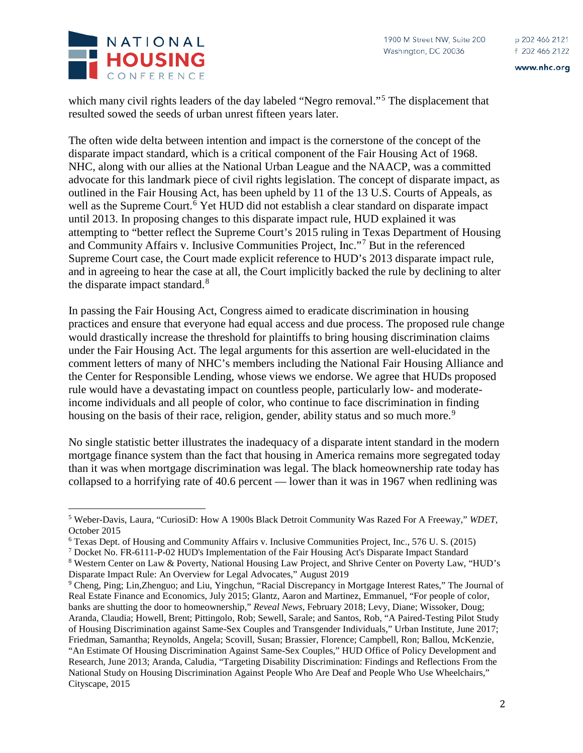

www.nhc.org



which many civil rights leaders of the day labeled "Negro removal."<sup>[5](#page-1-0)</sup> The displacement that resulted sowed the seeds of urban unrest fifteen years later.

The often wide delta between intention and impact is the cornerstone of the concept of the disparate impact standard, which is a critical component of the Fair Housing Act of 1968. NHC, along with our allies at the National Urban League and the NAACP, was a committed advocate for this landmark piece of civil rights legislation. The concept of disparate impact, as outlined in the Fair Housing Act, has been upheld by 11 of the 13 U.S. Courts of Appeals, as well as the Supreme Court.<sup>[6](#page-1-1)</sup> Yet HUD did not establish a clear standard on disparate impact until 2013. In proposing changes to this disparate impact rule, HUD explained it was attempting to "better reflect the Supreme Court's 2015 ruling in Texas Department of Housing and Community Affairs v. Inclusive Communities Project, Inc."[7](#page-1-2) But in the referenced Supreme Court case, the Court made explicit reference to HUD's 2013 disparate impact rule, and in agreeing to hear the case at all, the Court implicitly backed the rule by declining to alter the disparate impact standard.<sup>[8](#page-1-3)</sup>

In passing the Fair Housing Act, Congress aimed to eradicate discrimination in housing practices and ensure that everyone had equal access and due process. The proposed rule change would drastically increase the threshold for plaintiffs to bring housing discrimination claims under the Fair Housing Act. The legal arguments for this assertion are well-elucidated in the comment letters of many of NHC's members including the National Fair Housing Alliance and the Center for Responsible Lending, whose views we endorse. We agree that HUDs proposed rule would have a devastating impact on countless people, particularly low- and moderateincome individuals and all people of color, who continue to face discrimination in finding housing on the basis of their race, religion, gender, ability status and so much more.<sup>[9](#page-1-4)</sup>

No single statistic better illustrates the inadequacy of a disparate intent standard in the modern mortgage finance system than the fact that housing in America remains more segregated today than it was when mortgage discrimination was legal. The black homeownership rate today has collapsed to a horrifying rate of 40.6 percent — lower than it was in 1967 when redlining was

<span id="page-1-0"></span> <sup>5</sup> Weber-Davis, Laura, "CuriosiD: How A 1900s Black Detroit Community Was Razed For A Freeway," *WDET*, October 2015

<span id="page-1-1"></span><sup>6</sup> Texas Dept. of Housing and Community Affairs v. Inclusive Communities Project, Inc., 576 U. S. (2015)

<span id="page-1-2"></span><sup>7</sup> Docket No. FR-6111-P-02 HUD's Implementation of the Fair Housing Act's Disparate Impact Standard

<span id="page-1-3"></span><sup>8</sup> Western Center on Law & Poverty, National Housing Law Project, and Shrive Center on Poverty Law, "HUD's Disparate Impact Rule: An Overview for Legal Advocates," August 2019

<span id="page-1-4"></span><sup>9</sup> Cheng, Ping; Lin,Zhenguo; and Liu, Yingchun, "Racial Discrepancy in Mortgage Interest Rates," The Journal of Real Estate Finance and Economics, July 2015; Glantz, Aaron and Martinez, Emmanuel, "For people of color, banks are shutting the door to homeownership," *Reveal News*, February 2018; Levy, Diane; Wissoker, Doug; Aranda, Claudia; Howell, Brent; Pittingolo, Rob; Sewell, Sarale; and Santos, Rob, "A Paired-Testing Pilot Study of Housing Discrimination against Same-Sex Couples and Transgender Individuals," Urban Institute, June 2017; Friedman, Samantha; Reynolds, Angela; Scovill, Susan; Brassier, Florence; Campbell, Ron; Ballou, McKenzie, "An Estimate Of Housing Discrimination Against Same-Sex Couples," HUD Office of Policy Development and Research, June 2013; Aranda, Caludia, "Targeting Disability Discrimination: Findings and Reflections From the National Study on Housing Discrimination Against People Who Are Deaf and People Who Use Wheelchairs," Cityscape, 2015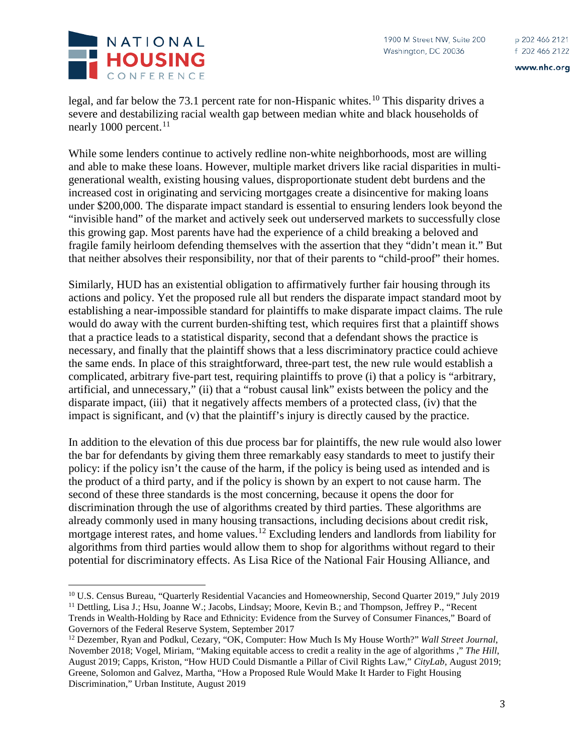



INATIONAL **HOUSING** CONFERENCE

legal, and far below the 73.1 percent rate for non-Hispanic whites.<sup>[10](#page-2-0)</sup> This disparity drives a severe and destabilizing racial wealth gap between median white and black households of nearly 1000 percent. $^{11}$  $^{11}$  $^{11}$ 

While some lenders continue to actively redline non-white neighborhoods, most are willing and able to make these loans. However, multiple market drivers like racial disparities in multigenerational wealth, existing housing values, disproportionate student debt burdens and the increased cost in originating and servicing mortgages create a disincentive for making loans under \$200,000. The disparate impact standard is essential to ensuring lenders look beyond the "invisible hand" of the market and actively seek out underserved markets to successfully close this growing gap. Most parents have had the experience of a child breaking a beloved and fragile family heirloom defending themselves with the assertion that they "didn't mean it." But that neither absolves their responsibility, nor that of their parents to "child-proof" their homes.

Similarly, HUD has an existential obligation to affirmatively further fair housing through its actions and policy. Yet the proposed rule all but renders the disparate impact standard moot by establishing a near-impossible standard for plaintiffs to make disparate impact claims. The rule would do away with the current burden-shifting test, which requires first that a plaintiff shows that a practice leads to a statistical disparity, second that a defendant shows the practice is necessary, and finally that the plaintiff shows that a less discriminatory practice could achieve the same ends. In place of this straightforward, three-part test, the new rule would establish a complicated, arbitrary five-part test, requiring plaintiffs to prove (i) that a policy is "arbitrary, artificial, and unnecessary," (ii) that a "robust causal link" exists between the policy and the disparate impact, (iii) that it negatively affects members of a protected class, (iv) that the impact is significant, and (v) that the plaintiff's injury is directly caused by the practice.

In addition to the elevation of this due process bar for plaintiffs, the new rule would also lower the bar for defendants by giving them three remarkably easy standards to meet to justify their policy: if the policy isn't the cause of the harm, if the policy is being used as intended and is the product of a third party, and if the policy is shown by an expert to not cause harm. The second of these three standards is the most concerning, because it opens the door for discrimination through the use of algorithms created by third parties. These algorithms are already commonly used in many housing transactions, including decisions about credit risk, mortgage interest rates, and home values.<sup>[12](#page-2-2)</sup> Excluding lenders and landlords from liability for algorithms from third parties would allow them to shop for algorithms without regard to their potential for discriminatory effects. As Lisa Rice of the National Fair Housing Alliance, and

<span id="page-2-0"></span> <sup>10</sup> U.S. Census Bureau, "Quarterly Residential Vacancies and Homeownership, Second Quarter 2019," July 2019

<span id="page-2-1"></span><sup>&</sup>lt;sup>11</sup> Dettling, Lisa J.; Hsu, Joanne W.; Jacobs, Lindsay; Moore, Kevin B.; and Thompson, Jeffrey P., "Recent" Trends in Wealth-Holding by Race and Ethnicity: Evidence from the Survey of Consumer Finances," Board of Governors of the Federal Reserve System, September 2017

<span id="page-2-2"></span><sup>12</sup> Dezember, Ryan and Podkul, Cezary, "OK, Computer: How Much Is My House Worth?" *Wall Street Journal*, November 2018; Vogel, Miriam, "Making equitable access to credit a reality in the age of algorithms ," *The Hill*, August 2019; Capps, Kriston, "How HUD Could Dismantle a Pillar of Civil Rights Law," *CityLab*, August 2019; Greene, Solomon and Galvez, Martha, "How a Proposed Rule Would Make It Harder to Fight Housing Discrimination," Urban Institute, August 2019